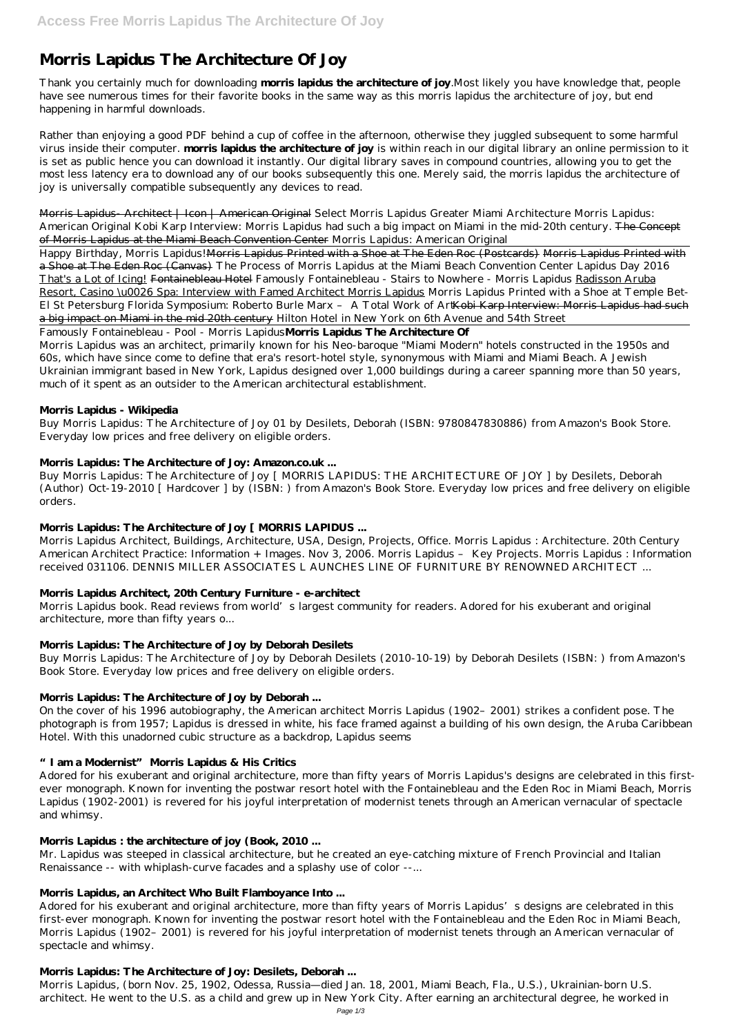# **Morris Lapidus The Architecture Of Joy**

Thank you certainly much for downloading **morris lapidus the architecture of joy**.Most likely you have knowledge that, people have see numerous times for their favorite books in the same way as this morris lapidus the architecture of joy, but end happening in harmful downloads.

Rather than enjoying a good PDF behind a cup of coffee in the afternoon, otherwise they juggled subsequent to some harmful virus inside their computer. **morris lapidus the architecture of joy** is within reach in our digital library an online permission to it is set as public hence you can download it instantly. Our digital library saves in compound countries, allowing you to get the most less latency era to download any of our books subsequently this one. Merely said, the morris lapidus the architecture of joy is universally compatible subsequently any devices to read.

Happy Birthday, Morris Lapidus! Morris Lapidus Printed with a Shoe at The Eden Roc (Postcards) Morris Lapidus Printed with a Shoe at The Eden Roc (Canvas) *The Process of Morris Lapidus at the Miami Beach Convention Center Lapidus Day 2016* That's a Lot of Icing! Fontainebleau Hotel *Famously Fontainebleau - Stairs to Nowhere - Morris Lapidus* Radisson Aruba Resort, Casino \u0026 Spa: Interview with Famed Architect Morris Lapidus Morris Lapidus Printed with a Shoe at Temple Bet-El St Petersburg Florida Symposium: Roberto Burle Marx - A Total Work of Art Kobi Karp Interview: Morris Lapidus had such a big impact on Miami in the mid 20th century *Hilton Hotel in New York on 6th Avenue and 54th Street*

Morris Lapidus- Architect | Icon | American Original *Select Morris Lapidus Greater Miami Architecture Morris Lapidus: American Original Kobi Karp Interview: Morris Lapidus had such a big impact on Miami in the mid-20th century.* The Concept of Morris Lapidus at the Miami Beach Convention Center Morris Lapidus: American Original

Morris Lapidus book. Read reviews from world's largest community for readers. Adored for his exuberant and original architecture, more than fifty years o...

Famously Fontainebleau - Pool - Morris Lapidus**Morris Lapidus The Architecture Of**

Morris Lapidus was an architect, primarily known for his Neo-baroque "Miami Modern" hotels constructed in the 1950s and 60s, which have since come to define that era's resort-hotel style, synonymous with Miami and Miami Beach. A Jewish Ukrainian immigrant based in New York, Lapidus designed over 1,000 buildings during a career spanning more than 50 years, much of it spent as an outsider to the American architectural establishment.

# **Morris Lapidus - Wikipedia**

Buy Morris Lapidus: The Architecture of Joy 01 by Desilets, Deborah (ISBN: 9780847830886) from Amazon's Book Store. Everyday low prices and free delivery on eligible orders.

Adored for his exuberant and original architecture, more than fifty years of Morris Lapidus's designs are celebrated in this first-ever monograph. Known for inventing the postwar resort hotel with the Fontainebleau and the Eden Roc in Miami Beach, Morris Lapidus (1902–2001) is revered for his joyful interpretation of modernist tenets through an American vernacular of spectacle and whimsy.

# **Morris Lapidus: The Architecture of Joy: Amazon.co.uk ...**

Buy Morris Lapidus: The Architecture of Joy [ MORRIS LAPIDUS: THE ARCHITECTURE OF JOY ] by Desilets, Deborah (Author) Oct-19-2010 [ Hardcover ] by (ISBN: ) from Amazon's Book Store. Everyday low prices and free delivery on eligible orders.

# **Morris Lapidus: The Architecture of Joy [ MORRIS LAPIDUS ...**

Morris Lapidus Architect, Buildings, Architecture, USA, Design, Projects, Office. Morris Lapidus : Architecture. 20th Century American Architect Practice: Information + Images. Nov 3, 2006. Morris Lapidus – Key Projects. Morris Lapidus : Information received 031106. DENNIS MILLER ASSOCIATES L AUNCHES LINE OF FURNITURE BY RENOWNED ARCHITECT ...

# **Morris Lapidus Architect, 20th Century Furniture - e-architect**

# **Morris Lapidus: The Architecture of Joy by Deborah Desilets**

Buy Morris Lapidus: The Architecture of Joy by Deborah Desilets (2010-10-19) by Deborah Desilets (ISBN: ) from Amazon's Book Store. Everyday low prices and free delivery on eligible orders.

# **Morris Lapidus: The Architecture of Joy by Deborah ...**

On the cover of his 1996 autobiography, the American architect Morris Lapidus (1902–2001) strikes a confident pose. The photograph is from 1957; Lapidus is dressed in white, his face framed against a building of his own design, the Aruba Caribbean Hotel. With this unadorned cubic structure as a backdrop, Lapidus seems

# **"I am a Modernist" Morris Lapidus & His Critics**

Adored for his exuberant and original architecture, more than fifty years of Morris Lapidus's designs are celebrated in this first-

ever monograph. Known for inventing the postwar resort hotel with the Fontainebleau and the Eden Roc in Miami Beach, Morris Lapidus (1902-2001) is revered for his joyful interpretation of modernist tenets through an American vernacular of spectacle and whimsy.

# **Morris Lapidus : the architecture of joy (Book, 2010 ...**

Mr. Lapidus was steeped in classical architecture, but he created an eye-catching mixture of French Provincial and Italian Renaissance -- with whiplash-curve facades and a splashy use of color --...

### **Morris Lapidus, an Architect Who Built Flamboyance Into ...**

#### **Morris Lapidus: The Architecture of Joy: Desilets, Deborah ...**

Morris Lapidus, (born Nov. 25, 1902, Odessa, Russia—died Jan. 18, 2001, Miami Beach, Fla., U.S.), Ukrainian-born U.S. architect. He went to the U.S. as a child and grew up in New York City. After earning an architectural degree, he worked in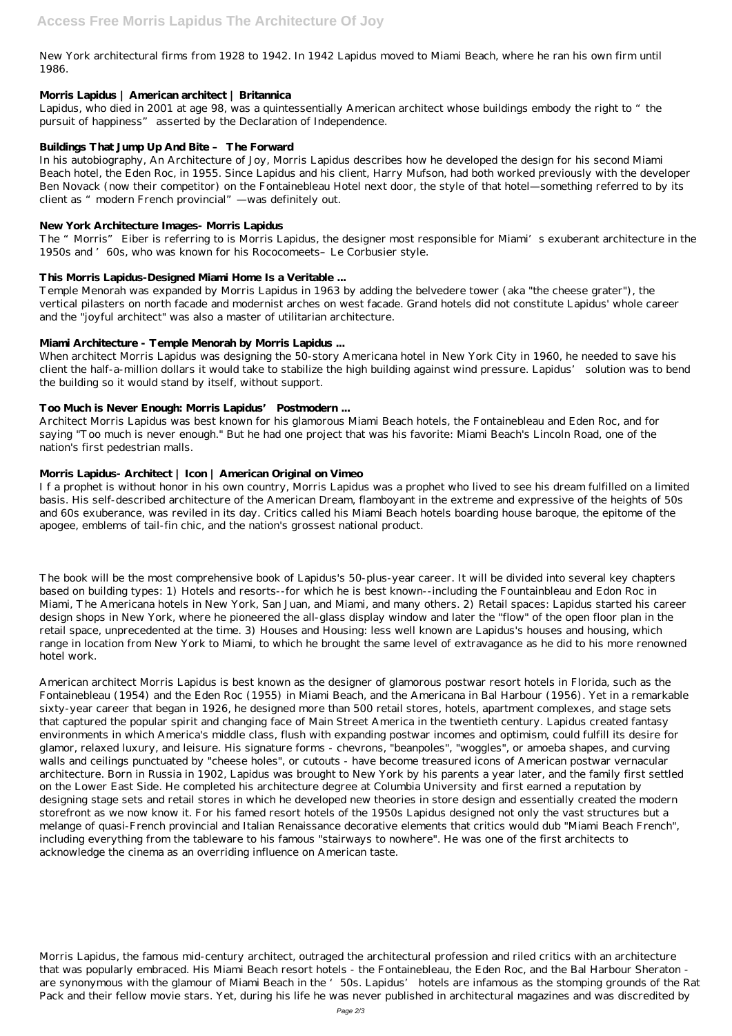New York architectural firms from 1928 to 1942. In 1942 Lapidus moved to Miami Beach, where he ran his own firm until 1986.

### **Morris Lapidus | American architect | Britannica**

Lapidus, who died in 2001 at age 98, was a quintessentially American architect whose buildings embody the right to "the pursuit of happiness" asserted by the Declaration of Independence.

# **Buildings That Jump Up And Bite – The Forward**

In his autobiography, An Architecture of Joy, Morris Lapidus describes how he developed the design for his second Miami Beach hotel, the Eden Roc, in 1955. Since Lapidus and his client, Harry Mufson, had both worked previously with the developer Ben Novack (now their competitor) on the Fontainebleau Hotel next door, the style of that hotel—something referred to by its client as "modern French provincial"—was definitely out.

### **New York Architecture Images- Morris Lapidus**

The "Morris" Eiber is referring to is Morris Lapidus, the designer most responsible for Miami's exuberant architecture in the 1950s and '60s, who was known for his Rococomeets–Le Corbusier style.

# **This Morris Lapidus-Designed Miami Home Is a Veritable ...**

Temple Menorah was expanded by Morris Lapidus in 1963 by adding the belvedere tower (aka "the cheese grater"), the vertical pilasters on north facade and modernist arches on west facade. Grand hotels did not constitute Lapidus' whole career and the "joyful architect" was also a master of utilitarian architecture.

# **Miami Architecture - Temple Menorah by Morris Lapidus ...**

When architect Morris Lapidus was designing the 50-story Americana hotel in New York City in 1960, he needed to save his client the half-a-million dollars it would take to stabilize the high building against wind pressure. Lapidus' solution was to bend the building so it would stand by itself, without support.

# **Too Much is Never Enough: Morris Lapidus' Postmodern ...**

Architect Morris Lapidus was best known for his glamorous Miami Beach hotels, the Fontainebleau and Eden Roc, and for saying "Too much is never enough." But he had one project that was his favorite: Miami Beach's Lincoln Road, one of the nation's first pedestrian malls.

# **Morris Lapidus- Architect | Icon | American Original on Vimeo**

I f a prophet is without honor in his own country, Morris Lapidus was a prophet who lived to see his dream fulfilled on a limited basis. His self-described architecture of the American Dream, flamboyant in the extreme and expressive of the heights of 50s and 60s exuberance, was reviled in its day. Critics called his Miami Beach hotels boarding house baroque, the epitome of the apogee, emblems of tail-fin chic, and the nation's grossest national product.

The book will be the most comprehensive book of Lapidus's 50-plus-year career. It will be divided into several key chapters based on building types: 1) Hotels and resorts--for which he is best known--including the Fountainbleau and Edon Roc in Miami, The Americana hotels in New York, San Juan, and Miami, and many others. 2) Retail spaces: Lapidus started his career design shops in New York, where he pioneered the all-glass display window and later the "flow" of the open floor plan in the retail space, unprecedented at the time. 3) Houses and Housing: less well known are Lapidus's houses and housing, which range in location from New York to Miami, to which he brought the same level of extravagance as he did to his more renowned hotel work.

American architect Morris Lapidus is best known as the designer of glamorous postwar resort hotels in Florida, such as the Fontainebleau (1954) and the Eden Roc (1955) in Miami Beach, and the Americana in Bal Harbour (1956). Yet in a remarkable sixty-year career that began in 1926, he designed more than 500 retail stores, hotels, apartment complexes, and stage sets that captured the popular spirit and changing face of Main Street America in the twentieth century. Lapidus created fantasy environments in which America's middle class, flush with expanding postwar incomes and optimism, could fulfill its desire for glamor, relaxed luxury, and leisure. His signature forms - chevrons, "beanpoles", "woggles", or amoeba shapes, and curving walls and ceilings punctuated by "cheese holes", or cutouts - have become treasured icons of American postwar vernacular architecture. Born in Russia in 1902, Lapidus was brought to New York by his parents a year later, and the family first settled on the Lower East Side. He completed his architecture degree at Columbia University and first earned a reputation by designing stage sets and retail stores in which he developed new theories in store design and essentially created the modern storefront as we now know it. For his famed resort hotels of the 1950s Lapidus designed not only the vast structures but a melange of quasi-French provincial and Italian Renaissance decorative elements that critics would dub "Miami Beach French", including everything from the tableware to his famous "stairways to nowhere". He was one of the first architects to acknowledge the cinema as an overriding influence on American taste.

Morris Lapidus, the famous mid-century architect, outraged the architectural profession and riled critics with an architecture that was popularly embraced. His Miami Beach resort hotels - the Fontainebleau, the Eden Roc, and the Bal Harbour Sheraton are synonymous with the glamour of Miami Beach in the '50s. Lapidus' hotels are infamous as the stomping grounds of the Rat Pack and their fellow movie stars. Yet, during his life he was never published in architectural magazines and was discredited by